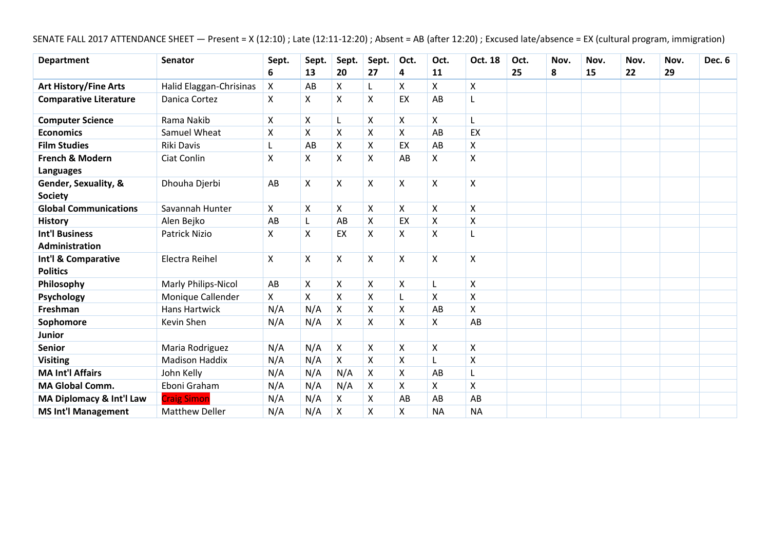SENATE FALL 2017 ATTENDANCE SHEET — Present = X (12:10) ; Late (12:11-12:20) ; Absent = AB (after 12:20) ; Excused late/absence = EX (cultural program, immigration)

| <b>Department</b>                       | <b>Senator</b>          | Sept. | Sept. | Sept.          | Sept.          | Oct.               | Oct.                      | Oct. 18                   | Oct. | Nov. | Nov. | Nov. | Nov. | <b>Dec. 6</b> |
|-----------------------------------------|-------------------------|-------|-------|----------------|----------------|--------------------|---------------------------|---------------------------|------|------|------|------|------|---------------|
|                                         |                         | 6     | 13    | 20             | 27             | 4                  | 11                        |                           | 25   | 8    | 15   | 22   | 29   |               |
| <b>Art History/Fine Arts</b>            | Halid Elaggan-Chrisinas | X     | AB    | X              | L              | X                  | X                         | $\boldsymbol{\mathsf{X}}$ |      |      |      |      |      |               |
| <b>Comparative Literature</b>           | Danica Cortez           | X     | X     | X              | X              | EX                 | AB                        | L                         |      |      |      |      |      |               |
| <b>Computer Science</b>                 | Rama Nakib              | Χ     | X     | L              | X              | X                  | X                         |                           |      |      |      |      |      |               |
| <b>Economics</b>                        | Samuel Wheat            | X     | X     | Χ              | X              | X                  | AB                        | EX                        |      |      |      |      |      |               |
| <b>Film Studies</b>                     | <b>Riki Davis</b>       | L     | AB    | X              | X              | EX                 | AB                        | X                         |      |      |      |      |      |               |
| French & Modern<br><b>Languages</b>     | Ciat Conlin             | X     | Χ     | Χ              | X              | AB                 | $\pmb{\mathsf{X}}$        | $\boldsymbol{\mathsf{X}}$ |      |      |      |      |      |               |
| Gender, Sexuality, &<br><b>Society</b>  | Dhouha Djerbi           | AB    | X     | X              | $\mathsf{X}$   | X                  | $\boldsymbol{\mathsf{X}}$ | $\boldsymbol{\mathsf{X}}$ |      |      |      |      |      |               |
| <b>Global Communications</b>            | Savannah Hunter         | X     | Χ     | Χ              | X              | X                  | $\pmb{\times}$            | $\pmb{\times}$            |      |      |      |      |      |               |
| <b>History</b>                          | Alen Bejko              | AB    |       | AB             | X              | EX                 | $\boldsymbol{\mathsf{X}}$ | $\boldsymbol{\mathsf{X}}$ |      |      |      |      |      |               |
| <b>Int'l Business</b><br>Administration | <b>Patrick Nizio</b>    | Χ     | X     | EX             | Χ              | X                  | $\boldsymbol{\mathsf{X}}$ | L                         |      |      |      |      |      |               |
| Int'l & Comparative<br><b>Politics</b>  | Electra Reihel          | X     | X     | Χ              | X              | X                  | $\boldsymbol{\mathsf{X}}$ | $\boldsymbol{\mathsf{X}}$ |      |      |      |      |      |               |
| Philosophy                              | Marly Philips-Nicol     | AB    | X     | X              | X              | X                  | L                         | $\boldsymbol{\mathsf{X}}$ |      |      |      |      |      |               |
| Psychology                              | Monique Callender       | X     | X     | X              | X              |                    | $\boldsymbol{\mathsf{X}}$ | $\boldsymbol{\mathsf{X}}$ |      |      |      |      |      |               |
| Freshman                                | <b>Hans Hartwick</b>    | N/A   | N/A   | X              | X              | $\pmb{\mathsf{X}}$ | AB                        | $\pmb{\mathsf{X}}$        |      |      |      |      |      |               |
| Sophomore                               | Kevin Shen              | N/A   | N/A   | Χ              | Χ              | Χ                  | X                         | AB                        |      |      |      |      |      |               |
| <b>Junior</b>                           |                         |       |       |                |                |                    |                           |                           |      |      |      |      |      |               |
| <b>Senior</b>                           | Maria Rodriguez         | N/A   | N/A   | $\pmb{\times}$ | X              | X                  | $\boldsymbol{\mathsf{X}}$ | $\boldsymbol{\mathsf{X}}$ |      |      |      |      |      |               |
| <b>Visiting</b>                         | <b>Madison Haddix</b>   | N/A   | N/A   | X              | X              | X                  | L                         | $\pmb{\times}$            |      |      |      |      |      |               |
| <b>MA Int'l Affairs</b>                 | John Kelly              | N/A   | N/A   | N/A            | X              | $\pmb{\mathsf{X}}$ | AB                        | L                         |      |      |      |      |      |               |
| <b>MA Global Comm.</b>                  | Eboni Graham            | N/A   | N/A   | N/A            | X              | X                  | X                         | Χ                         |      |      |      |      |      |               |
| MA Diplomacy & Int'l Law                | <b>Craig Simon</b>      | N/A   | N/A   | X              | X              | AB                 | AB                        | AB                        |      |      |      |      |      |               |
| <b>MS Int'l Management</b>              | <b>Matthew Deller</b>   | N/A   | N/A   | Χ              | $\pmb{\times}$ | Χ                  | <b>NA</b>                 | <b>NA</b>                 |      |      |      |      |      |               |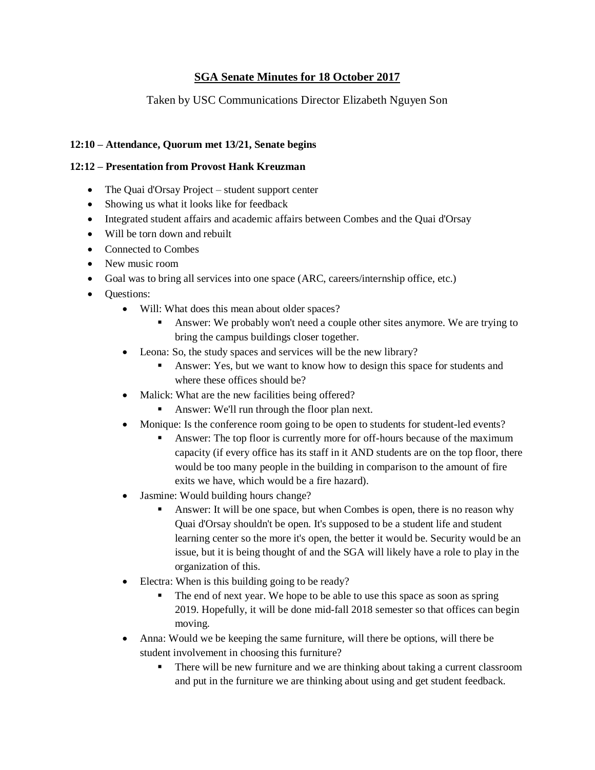## **SGA Senate Minutes for 18 October 2017**

## Taken by USC Communications Director Elizabeth Nguyen Son

### **12:10 – Attendance, Quorum met 13/21, Senate begins**

#### **12:12 – Presentation from Provost Hank Kreuzman**

- The Quai d'Orsay Project student support center
- Showing us what it looks like for feedback
- Integrated student affairs and academic affairs between Combes and the Quai d'Orsay
- Will be torn down and rebuilt
- Connected to Combes
- New music room
- Goal was to bring all services into one space (ARC, careers/internship office, etc.)
- Questions:
	- Will: What does this mean about older spaces?
		- Answer: We probably won't need a couple other sites anymore. We are trying to bring the campus buildings closer together.
	- Leona: So, the study spaces and services will be the new library?
		- **•** Answer: Yes, but we want to know how to design this space for students and where these offices should be?
	- Malick: What are the new facilities being offered?
		- Answer: We'll run through the floor plan next.
	- Monique: Is the conference room going to be open to students for student-led events?
		- Answer: The top floor is currently more for off-hours because of the maximum capacity (if every office has its staff in it AND students are on the top floor, there would be too many people in the building in comparison to the amount of fire exits we have, which would be a fire hazard).
	- Jasmine: Would building hours change?
		- Answer: It will be one space, but when Combes is open, there is no reason why Quai d'Orsay shouldn't be open. It's supposed to be a student life and student learning center so the more it's open, the better it would be. Security would be an issue, but it is being thought of and the SGA will likely have a role to play in the organization of this.
	- Electra: When is this building going to be ready?
		- The end of next year. We hope to be able to use this space as soon as spring 2019. Hopefully, it will be done mid-fall 2018 semester so that offices can begin moving.
	- Anna: Would we be keeping the same furniture, will there be options, will there be student involvement in choosing this furniture?
		- There will be new furniture and we are thinking about taking a current classroom and put in the furniture we are thinking about using and get student feedback.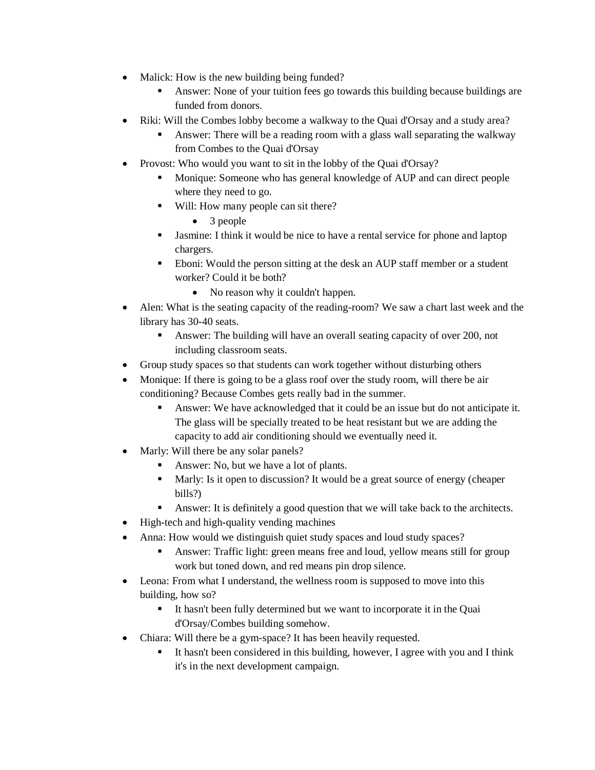- Malick: How is the new building being funded?
	- Answer: None of your tuition fees go towards this building because buildings are funded from donors.
- Riki: Will the Combes lobby become a walkway to the Quai d'Orsay and a study area?
	- Answer: There will be a reading room with a glass wall separating the walkway from Combes to the Quai d'Orsay
- Provost: Who would you want to sit in the lobby of the Quai d'Orsay?
	- Monique: Someone who has general knowledge of AUP and can direct people where they need to go.
	- Will: How many people can sit there?
		- 3 people
	- Jasmine: I think it would be nice to have a rental service for phone and laptop chargers.
	- Eboni: Would the person sitting at the desk an AUP staff member or a student worker? Could it be both?
		- No reason why it couldn't happen.
- Alen: What is the seating capacity of the reading-room? We saw a chart last week and the library has 30-40 seats.
	- **•** Answer: The building will have an overall seating capacity of over 200, not including classroom seats.
- Group study spaces so that students can work together without disturbing others
- Monique: If there is going to be a glass roof over the study room, will there be air conditioning? Because Combes gets really bad in the summer.
	- Answer: We have acknowledged that it could be an issue but do not anticipate it. The glass will be specially treated to be heat resistant but we are adding the capacity to add air conditioning should we eventually need it.
- Marly: Will there be any solar panels?
	- Answer: No, but we have a lot of plants.
	- Marly: Is it open to discussion? It would be a great source of energy (cheaper bills?)
	- Answer: It is definitely a good question that we will take back to the architects.
- High-tech and high-quality vending machines
- Anna: How would we distinguish quiet study spaces and loud study spaces?
	- **•** Answer: Traffic light: green means free and loud, yellow means still for group work but toned down, and red means pin drop silence.
- Leona: From what I understand, the wellness room is supposed to move into this building, how so?
	- It hasn't been fully determined but we want to incorporate it in the Quai d'Orsay/Combes building somehow.
- Chiara: Will there be a gym-space? It has been heavily requested.
	- It hasn't been considered in this building, however, I agree with you and I think it's in the next development campaign.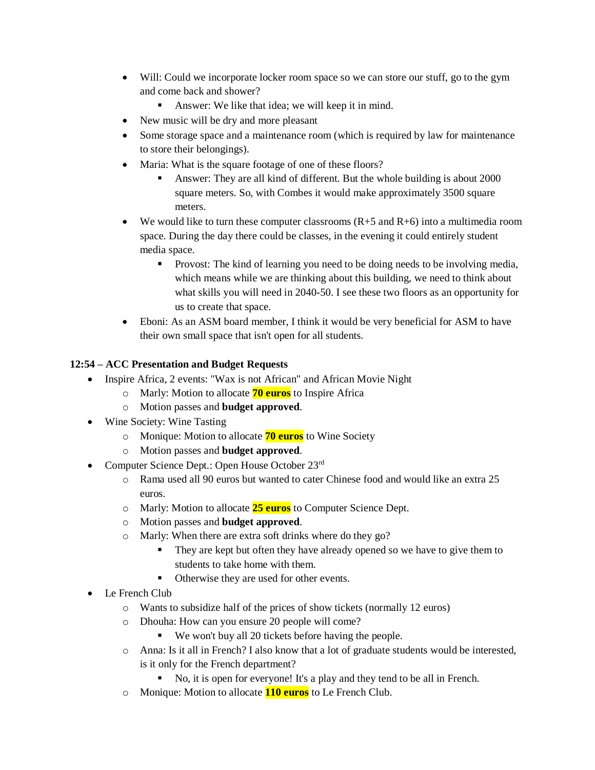- Will: Could we incorporate locker room space so we can store our stuff, go to the gym and come back and shower?
	- Answer: We like that idea; we will keep it in mind.
- New music will be dry and more pleasant
- Some storage space and a maintenance room (which is required by law for maintenance to store their belongings).
- Maria: What is the square footage of one of these floors?
	- Answer: They are all kind of different. But the whole building is about 2000 square meters. So, with Combes it would make approximately 3500 square meters.
- We would like to turn these computer classrooms  $(R+5 \text{ and } R+6)$  into a multimedia room space. During the day there could be classes, in the evening it could entirely student media space.
	- **•** Provost: The kind of learning you need to be doing needs to be involving media, which means while we are thinking about this building, we need to think about what skills you will need in 2040-50. I see these two floors as an opportunity for us to create that space.
- Eboni: As an ASM board member, I think it would be very beneficial for ASM to have their own small space that isn't open for all students.

### **12:54 – ACC Presentation and Budget Requests**

- Inspire Africa, 2 events: "Wax is not African" and African Movie Night
	- o Marly: Motion to allocate **70 euros** to Inspire Africa
	- o Motion passes and **budget approved**.
- Wine Society: Wine Tasting
	- o Monique: Motion to allocate **70 euros** to Wine Society
	- o Motion passes and **budget approved**.
- Computer Science Dept.: Open House October 23rd
	- o Rama used all 90 euros but wanted to cater Chinese food and would like an extra 25 euros.
	- o Marly: Motion to allocate **25 euros** to Computer Science Dept.
	- o Motion passes and **budget approved**.
	- o Marly: When there are extra soft drinks where do they go?
		- **•** They are kept but often they have already opened so we have to give them to students to take home with them.
		- Otherwise they are used for other events.
- Le French Club
	- o Wants to subsidize half of the prices of show tickets (normally 12 euros)
	- o Dhouha: How can you ensure 20 people will come?
		- We won't buy all 20 tickets before having the people.
	- $\circ$  Anna: Is it all in French? I also know that a lot of graduate students would be interested, is it only for the French department?
		- No, it is open for everyone! It's a play and they tend to be all in French.
	- o Monique: Motion to allocate **110 euros** to Le French Club.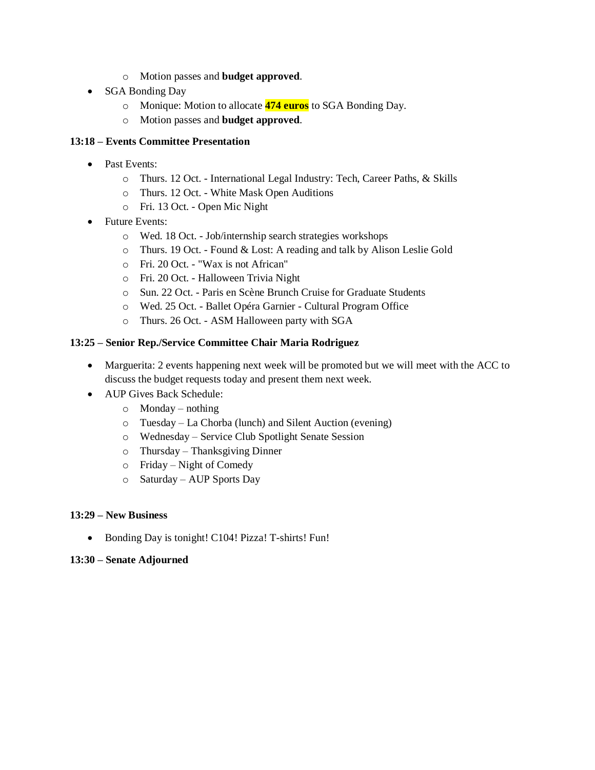- o Motion passes and **budget approved**.
- SGA Bonding Day
	- o Monique: Motion to allocate **474 euros** to SGA Bonding Day.
	- o Motion passes and **budget approved**.

#### **13:18 – Events Committee Presentation**

- Past Events:
	- o Thurs. 12 Oct. International Legal Industry: Tech, Career Paths, & Skills
	- o Thurs. 12 Oct. White Mask Open Auditions
	- o Fri. 13 Oct. Open Mic Night
- Future Events:
	- o Wed. 18 Oct. Job/internship search strategies workshops
	- o Thurs. 19 Oct. Found & Lost: A reading and talk by Alison Leslie Gold
	- o Fri. 20 Oct. "Wax is not African"
	- o Fri. 20 Oct. Halloween Trivia Night
	- o Sun. 22 Oct. Paris en Scène Brunch Cruise for Graduate Students
	- o Wed. 25 Oct. Ballet Opéra Garnier Cultural Program Office
	- o Thurs. 26 Oct. ASM Halloween party with SGA

### **13:25 – Senior Rep./Service Committee Chair Maria Rodriguez**

- Marguerita: 2 events happening next week will be promoted but we will meet with the ACC to discuss the budget requests today and present them next week.
- AUP Gives Back Schedule:
	- $\circ$  Monday nothing
	- o Tuesday La Chorba (lunch) and Silent Auction (evening)
	- o Wednesday Service Club Spotlight Senate Session
	- o Thursday Thanksgiving Dinner
	- o Friday Night of Comedy
	- o Saturday AUP Sports Day

### **13:29 – New Business**

• Bonding Day is tonight! C104! Pizza! T-shirts! Fun!

#### **13:30 – Senate Adjourned**